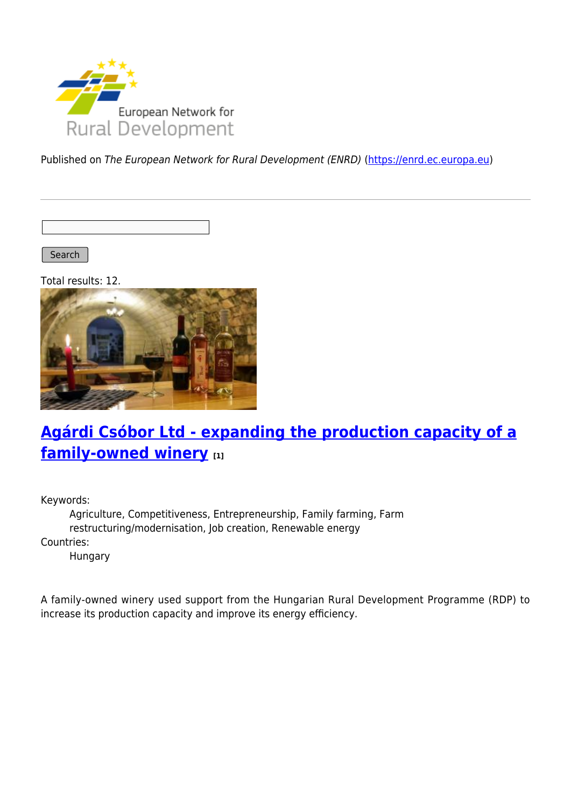

Published on The European Network for Rural Development (ENRD) [\(https://enrd.ec.europa.eu](https://enrd.ec.europa.eu))

Search |

Total results: 12.



### **[Agárdi Csóbor Ltd - expanding the production capacity of a](https://enrd.ec.europa.eu/projects-practice/agardi-csobor-ltd-expanding-production-capacity-family-owned-winery_en) [family-owned winery](https://enrd.ec.europa.eu/projects-practice/agardi-csobor-ltd-expanding-production-capacity-family-owned-winery_en) [1]**

Keywords:

Agriculture, Competitiveness, Entrepreneurship, Family farming, Farm restructuring/modernisation, Job creation, Renewable energy Countries:

Hungary

A family-owned winery used support from the Hungarian Rural Development Programme (RDP) to increase its production capacity and improve its energy efficiency.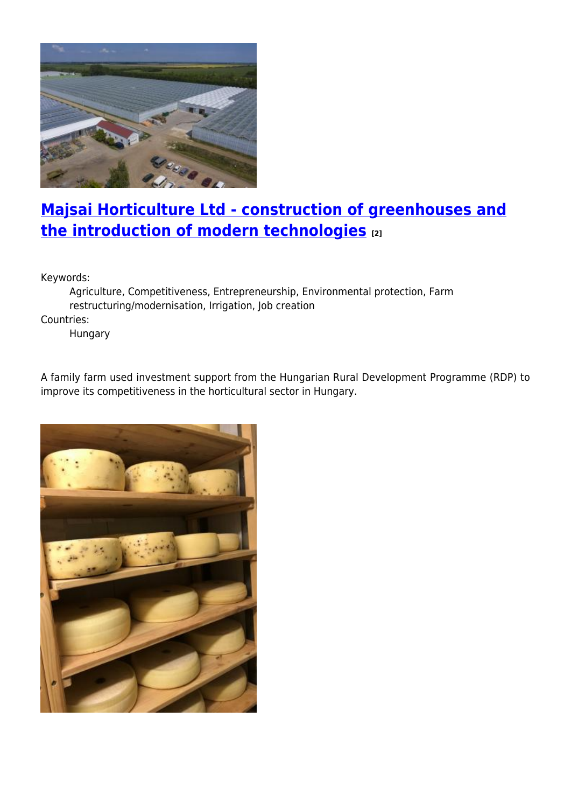

#### **[Majsai Horticulture Ltd - construction of greenhouses and](https://enrd.ec.europa.eu/projects-practice/majsai-horticulture-ltd-construction-greenhouses-and-introduction-modern_en) [the introduction of modern technologies](https://enrd.ec.europa.eu/projects-practice/majsai-horticulture-ltd-construction-greenhouses-and-introduction-modern_en) [2]**

Keywords:

Agriculture, Competitiveness, Entrepreneurship, Environmental protection, Farm restructuring/modernisation, Irrigation, Job creation Countries:

Hungary

A family farm used investment support from the Hungarian Rural Development Programme (RDP) to improve its competitiveness in the horticultural sector in Hungary.

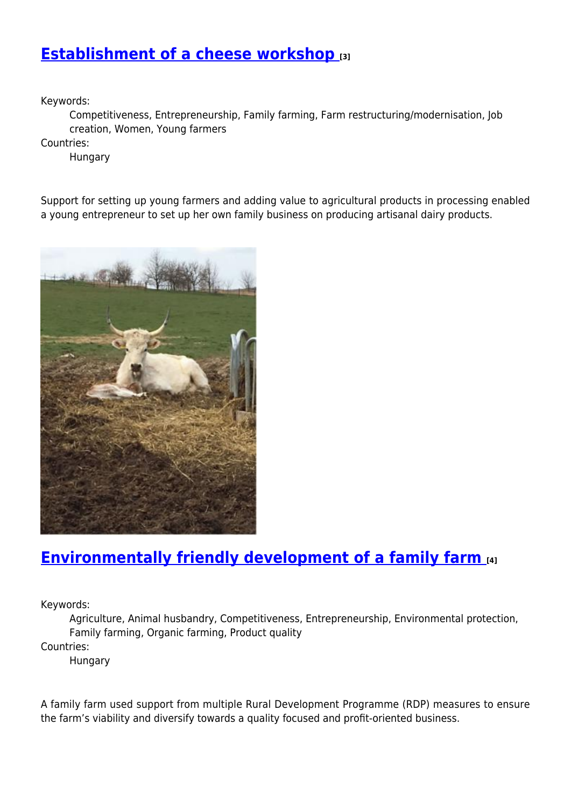#### **[Establishment of a cheese workshop](https://enrd.ec.europa.eu/projects-practice/establishment-cheese-workshop_en) [3]**

Keywords:

Competitiveness, Entrepreneurship, Family farming, Farm restructuring/modernisation, Job creation, Women, Young farmers

Countries:

Hungary

Support for setting up young farmers and adding value to agricultural products in processing enabled a young entrepreneur to set up her own family business on producing artisanal dairy products.



#### **[Environmentally friendly development of a family farm](https://enrd.ec.europa.eu/projects-practice/environmentally-friendly-development-family-farm_en) [4]**

Keywords:

Agriculture, Animal husbandry, Competitiveness, Entrepreneurship, Environmental protection, Family farming, Organic farming, Product quality Countries:

Hungary

A family farm used support from multiple Rural Development Programme (RDP) measures to ensure the farm's viability and diversify towards a quality focused and profit-oriented business.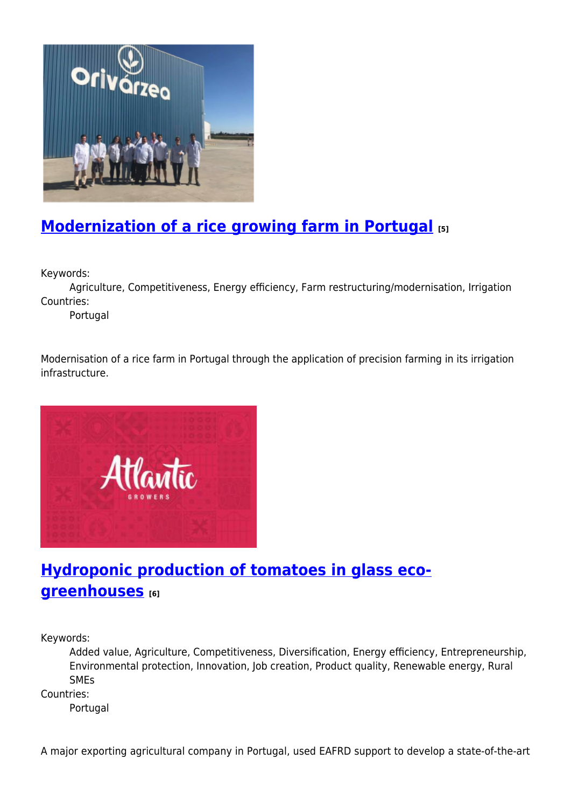

# **[Modernization of a rice growing farm in Portugal](https://enrd.ec.europa.eu/projects-practice/modernization-rice-growing-farm-portugal_en) [5]**

Keywords:

Agriculture, Competitiveness, Energy efficiency, Farm restructuring/modernisation, Irrigation Countries:

Portugal

Modernisation of a rice farm in Portugal through the application of precision farming in its irrigation infrastructure.



### **[Hydroponic production of tomatoes in glass eco](https://enrd.ec.europa.eu/projects-practice/hydroponic-production-tomatoes-glass-eco-greenhouses_en)[greenhouses](https://enrd.ec.europa.eu/projects-practice/hydroponic-production-tomatoes-glass-eco-greenhouses_en) [6]**

Keywords:

Added value, Agriculture, Competitiveness, Diversification, Energy efficiency, Entrepreneurship, Environmental protection, Innovation, Job creation, Product quality, Renewable energy, Rural SMEs

Countries:

Portugal

A major exporting agricultural company in Portugal, used EAFRD support to develop a state-of-the-art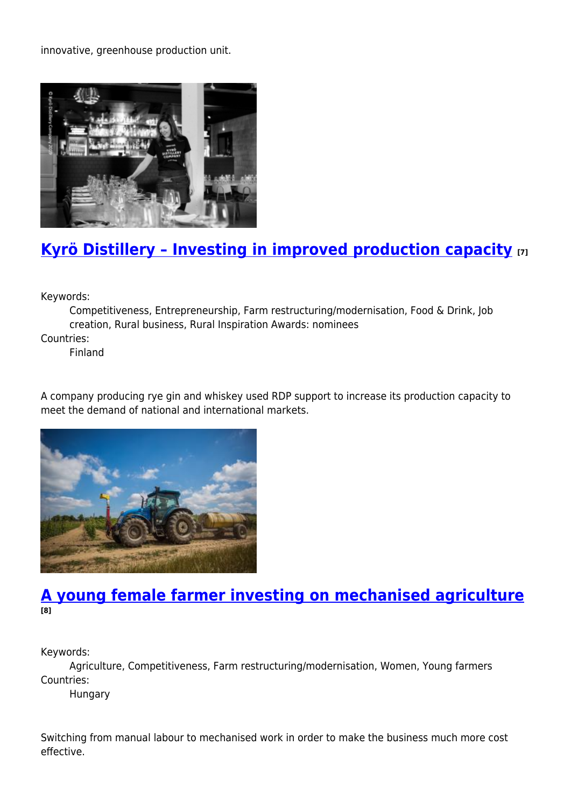innovative, greenhouse production unit.



#### **[Kyrö Distillery – Investing in improved production capacity](https://enrd.ec.europa.eu/projects-practice/kyro-distillery-investing-improved-production-capacity_en) [7]**

Keywords:

Competitiveness, Entrepreneurship, Farm restructuring/modernisation, Food & Drink, Job creation, Rural business, Rural Inspiration Awards: nominees Countries:

Finland

A company producing rye gin and whiskey used RDP support to increase its production capacity to meet the demand of national and international markets.



#### **[A young female farmer investing on mechanised agriculture](https://enrd.ec.europa.eu/projects-practice/young-female-farmer-investing-mechanised-agriculture_en) [8]**

Keywords:

Agriculture, Competitiveness, Farm restructuring/modernisation, Women, Young farmers Countries:

Hungary

Switching from manual labour to mechanised work in order to make the business much more cost effective.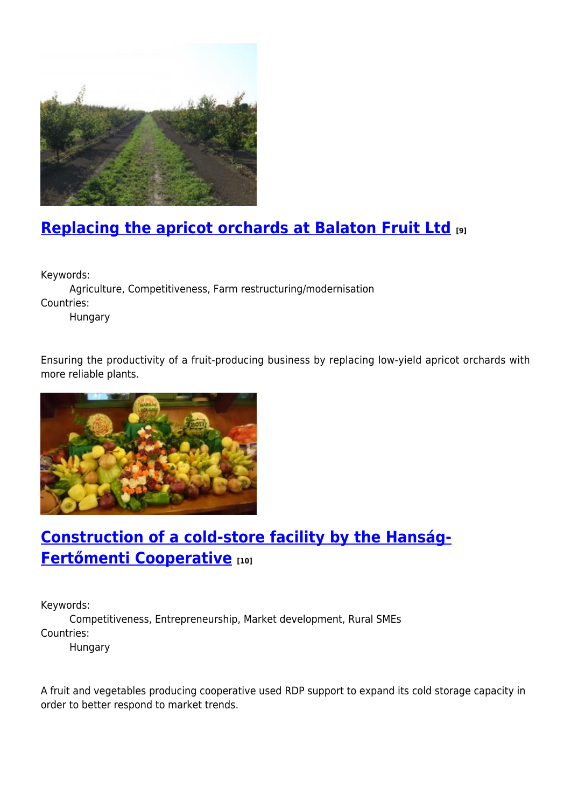

# **[Replacing the apricot orchards at Balaton Fruit Ltd](https://enrd.ec.europa.eu/projects-practice/replacing-apricot-orchards-balaton-fruit-ltd_en) [9]**

Keywords:

Agriculture, Competitiveness, Farm restructuring/modernisation Countries:

Hungary

Ensuring the productivity of a fruit-producing business by replacing low-yield apricot orchards with more reliable plants.



# **[Construction of a cold-store facility by the Hanság-](https://enrd.ec.europa.eu/projects-practice/construction-cold-store-facility-hansag-fertomenti-cooperative_en)[Fertőmenti Cooperative](https://enrd.ec.europa.eu/projects-practice/construction-cold-store-facility-hansag-fertomenti-cooperative_en) [10]**

Keywords: Competitiveness, Entrepreneurship, Market development, Rural SMEs Countries: Hungary

A fruit and vegetables producing cooperative used RDP support to expand its cold storage capacity in order to better respond to market trends.